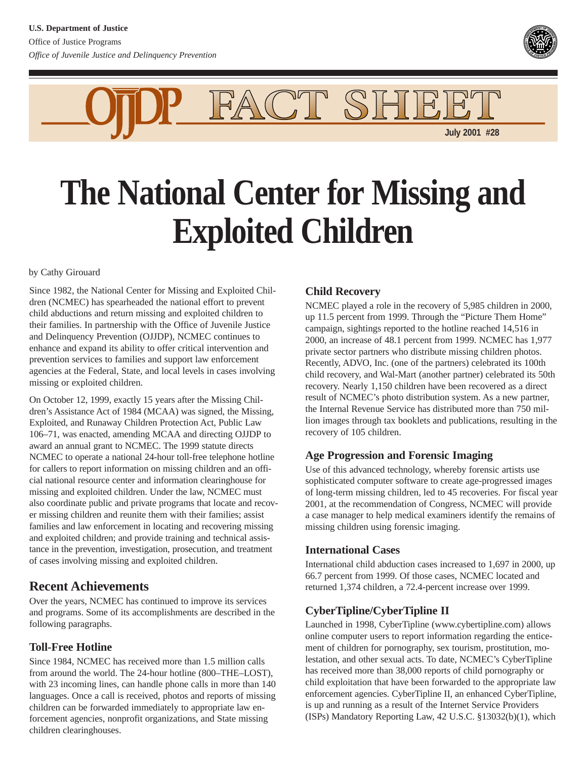

FACT SHE **July 2001 #28**

# **The National Center for Missing and Exploited Children**

#### by Cathy Girouard

Since 1982, the National Center for Missing and Exploited Children (NCMEC) has spearheaded the national effort to prevent child abductions and return missing and exploited children to their families. In partnership with the Office of Juvenile Justice and Delinquency Prevention (OJJDP), NCMEC continues to enhance and expand its ability to offer critical intervention and prevention services to families and support law enforcement agencies at the Federal, State, and local levels in cases involving missing or exploited children.

On October 12, 1999, exactly 15 years after the Missing Children's Assistance Act of 1984 (MCAA) was signed, the Missing, Exploited, and Runaway Children Protection Act, Public Law 106–71, was enacted, amending MCAA and directing OJJDP to award an annual grant to NCMEC. The 1999 statute directs NCMEC to operate a national 24-hour toll-free telephone hotline for callers to report information on missing children and an official national resource center and information clearinghouse for missing and exploited children. Under the law, NCMEC must also coordinate public and private programs that locate and recover missing children and reunite them with their families; assist families and law enforcement in locating and recovering missing and exploited children; and provide training and technical assistance in the prevention, investigation, prosecution, and treatment of cases involving missing and exploited children.

# **Recent Achievements**

Over the years, NCMEC has continued to improve its services and programs. Some of its accomplishments are described in the following paragraphs.

## **Toll-Free Hotline**

Since 1984, NCMEC has received more than 1.5 million calls from around the world. The 24-hour hotline (800–THE–LOST), with 23 incoming lines, can handle phone calls in more than 140 languages. Once a call is received, photos and reports of missing children can be forwarded immediately to appropriate law enforcement agencies, nonprofit organizations, and State missing children clearinghouses.

## **Child Recovery**

NCMEC played a role in the recovery of 5,985 children in 2000, up 11.5 percent from 1999. Through the "Picture Them Home" campaign, sightings reported to the hotline reached 14,516 in 2000, an increase of 48.1 percent from 1999. NCMEC has 1,977 private sector partners who distribute missing children photos. Recently, ADVO, Inc. (one of the partners) celebrated its 100th child recovery, and Wal-Mart (another partner) celebrated its 50th recovery. Nearly 1,150 children have been recovered as a direct result of NCMEC's photo distribution system. As a new partner, the Internal Revenue Service has distributed more than 750 million images through tax booklets and publications, resulting in the recovery of 105 children.

## **Age Progression and Forensic Imaging**

Use of this advanced technology, whereby forensic artists use sophisticated computer software to create age-progressed images of long-term missing children, led to 45 recoveries. For fiscal year 2001, at the recommendation of Congress, NCMEC will provide a case manager to help medical examiners identify the remains of missing children using forensic imaging.

### **International Cases**

International child abduction cases increased to 1,697 in 2000, up 66.7 percent from 1999. Of those cases, NCMEC located and returned 1,374 children, a 72.4-percent increase over 1999.

## **CyberTipline/CyberTipline II**

Launched in 1998, CyberTipline (www.cybertipline.com) allows online computer users to report information regarding the enticement of children for pornography, sex tourism, prostitution, molestation, and other sexual acts. To date, NCMEC's CyberTipline has received more than 38,000 reports of child pornography or child exploitation that have been forwarded to the appropriate law enforcement agencies. CyberTipline II, an enhanced CyberTipline, is up and running as a result of the Internet Service Providers (ISPs) Mandatory Reporting Law, 42 U.S.C. §13032(b)(1), which